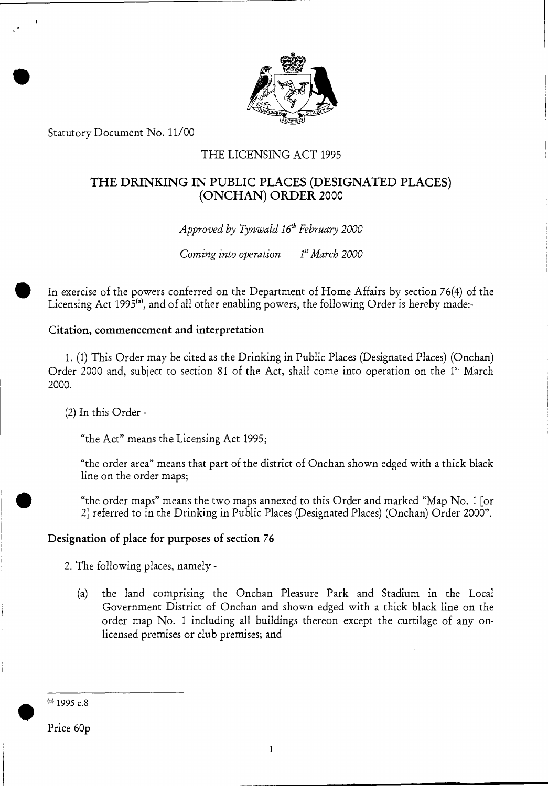

Statutory Document No. 11/00

### THE LICENSING ACT 1995

## THE DRINKING IN PUBLIC PLACES (DESIGNATED PLACES) (ONCHAN) ORDER 2000

*Approved by Tynwald 16<sup>th</sup> February 2000* 

*Coming into operation 1st March 2000* 

In exercise of the powers conferred on the Department of Home Affairs by section 76(4) of the Licensing Act 1995 $^{(a)}$ , and of all other enabling powers, the following Order is hereby made:-

#### Citation, commencement and interpretation

1. (1) This Order may be cited as the Drinking in Public Places (Designated Places) (Onchan) Order 2000 and, subject to section 81 of the Act, shall come into operation on the  $1<sup>st</sup>$  March 2000.

(2) In this Order -

"the Act" means the Licensing Act 1995;

"the order area" means that part of the district of Onchan shown edged with a thick black line on the order maps;

"the order maps" means the two maps annexed to this Order and marked "Map No. 1 [or 2] referred to in the Drinking in Public Places (Designated Places) (Onchan) Order 2000".

### Designation of place for purposes of section 76

2. The following places, namely -

(a) the land comprising the Onchan Pleasure Park and Stadium in the Local Government District of Onchan and shown edged with a thick black line on the order map No. 1 including all buildings thereon except the curtilage of any onlicensed premises or club premises; and

 $(4)$  1995 c.8

Price 60p

 $\blacktriangledown$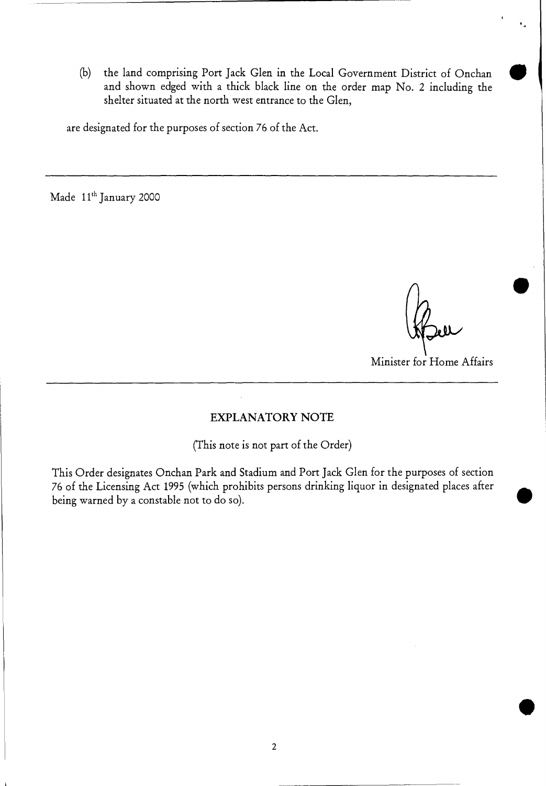(b) the land comprising Port Jack Glen in the Local Government District of Onchan • and shown edged with a thick black line on the order map No. 2 including the shelter situated at the north west entrance to the Glen,

are designated for the purposes of section 76 of the Act.

Made 11<sup>th</sup> January 2000

■

Minister for Home Affairs

#### EXPLANATORY NOTE

(This note is not part of the Order)

This Order designates Onchan Park and Stadium and Port Jack Glen for the purposes of section 76 of the Licensing Act 1995 (which prohibits persons drinking liquor in designated places after being warned by a constable not to do so).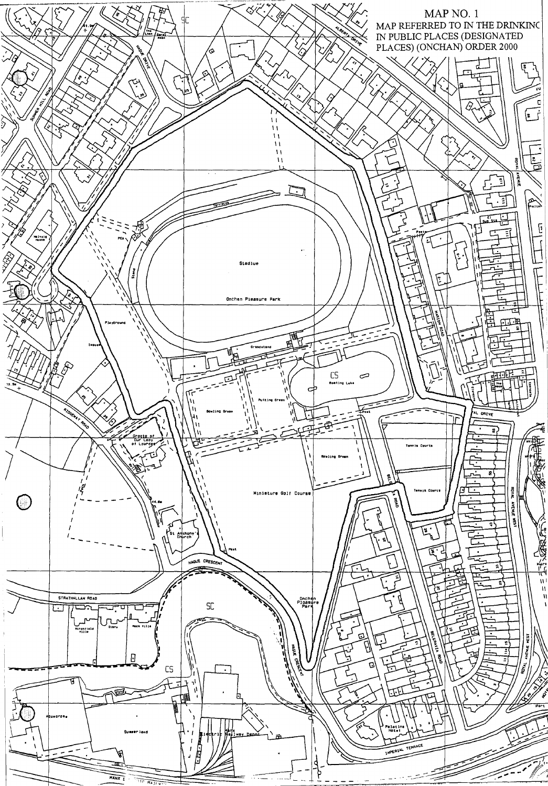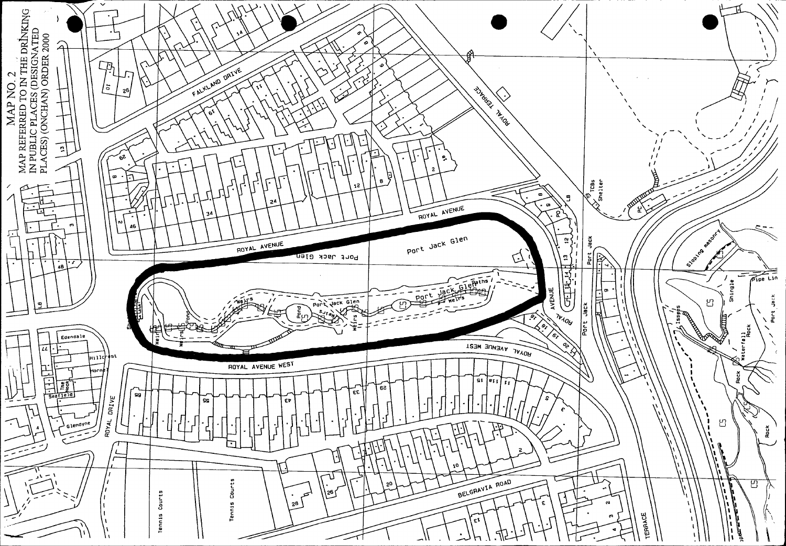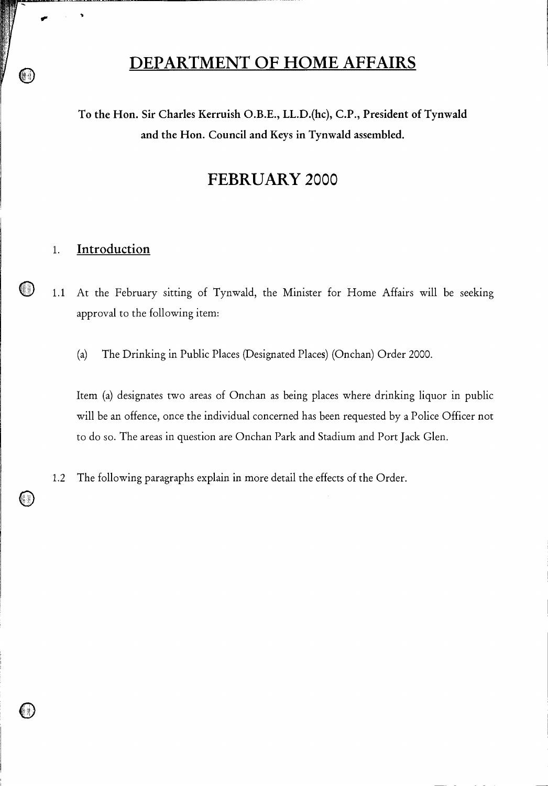# **DEPARTMENT OF HOME AFFAIRS**

To the Hon. Sir Charles Kerruish O.B.E., LL.D.(hc), C.P., President of Tynwald and the Hon. Council and Keys in Tynwald assembled.

# **FEBRUARY** 2000

# 1. Introduction

*ow* 

1.1 At the February sitting of Tynwald, the Minister for Home Affairs will be seeking approval to the following item:

(a) The Drinking in Public Places (Designated Places) (Onchan) Order 2000.

Item (a) designates two areas of Onchan as being places where drinking liquor in public will be an offence, once the individual concerned has been requested by a Police Officer not to do so. The areas in question are Onchan Park and Stadium and Port Jack Glen.

1.2 The following paragraphs explain in more detail the effects of the Order.